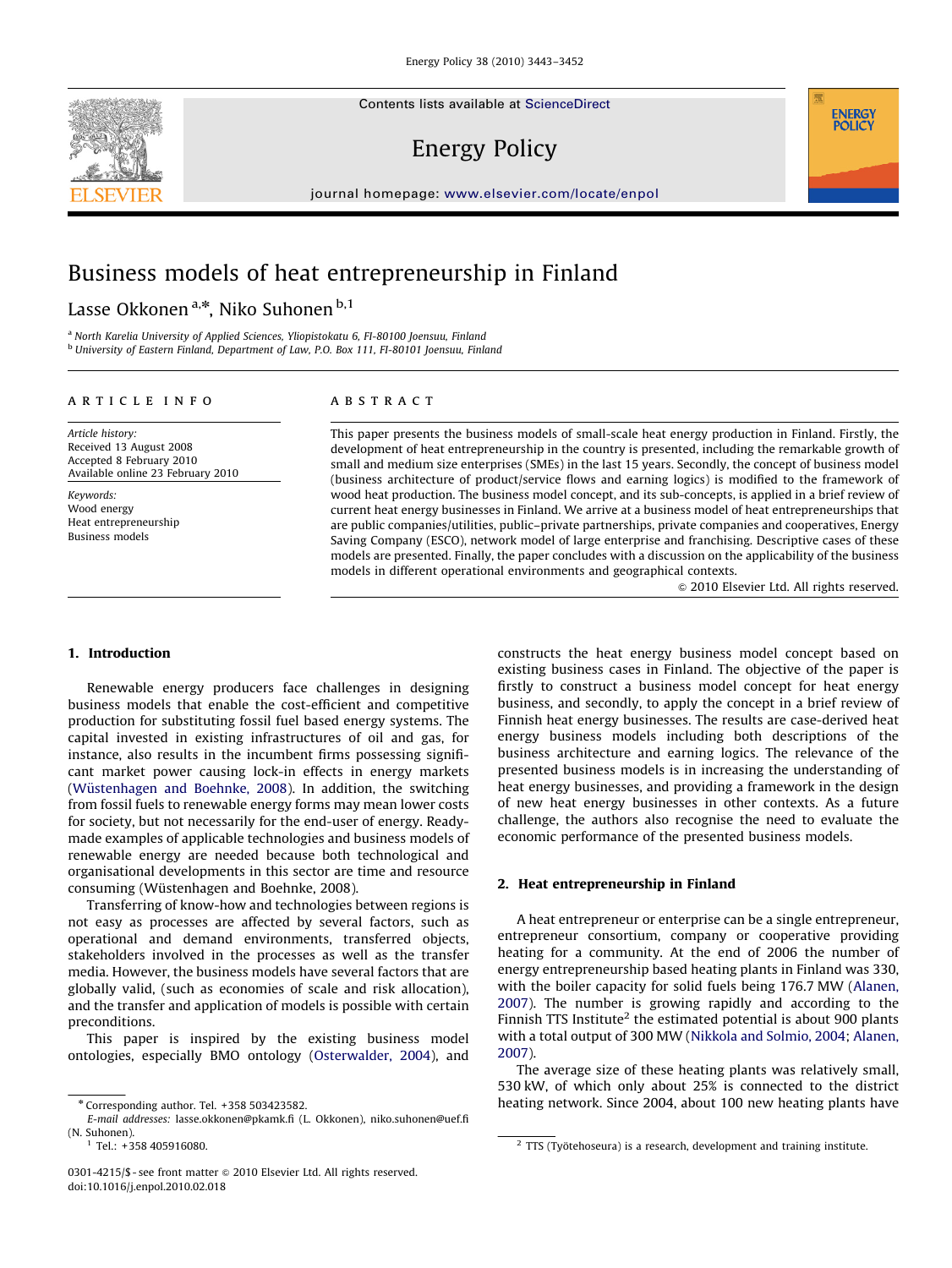Contents lists available at ScienceDirect

Energy Policy

journal homepage: <www.elsevier.com/locate/enpol>

## Business models of heat entrepreneurship in Finland

Lasse Okkonen <sup>a,\*</sup>, Niko Suhonen <sup>b,1</sup>

<sup>a</sup> North Karelia University of Applied Sciences, Yliopistokatu 6, FI-80100 Joensuu, Finland <sup>b</sup> University of Eastern Finland, Department of Law, P.O. Box 111, FI-80101 Joensuu, Finland

#### article info

Article history: Received 13 August 2008 Accepted 8 February 2010 Available online 23 February 2010

Keywords: Wood energy Heat entrepreneurship Business models

#### ABSTRACT

This paper presents the business models of small-scale heat energy production in Finland. Firstly, the development of heat entrepreneurship in the country is presented, including the remarkable growth of small and medium size enterprises (SMEs) in the last 15 years. Secondly, the concept of business model (business architecture of product/service flows and earning logics) is modified to the framework of wood heat production. The business model concept, and its sub-concepts, is applied in a brief review of current heat energy businesses in Finland. We arrive at a business model of heat entrepreneurships that are public companies/utilities, public–private partnerships, private companies and cooperatives, Energy Saving Company (ESCO), network model of large enterprise and franchising. Descriptive cases of these models are presented. Finally, the paper concludes with a discussion on the applicability of the business models in different operational environments and geographical contexts.

 $\odot$  2010 Elsevier Ltd. All rights reserved.

**ENERGY POLICY** 

### 1. Introduction

Renewable energy producers face challenges in designing business models that enable the cost-efficient and competitive production for substituting fossil fuel based energy systems. The capital invested in existing infrastructures of oil and gas, for instance, also results in the incumbent firms possessing significant market power causing lock-in effects in energy markets (Wüstenhagen and Boehnke, 2008). In addition, the switching from fossil fuels to renewable energy forms may mean lower costs for society, but not necessarily for the end-user of energy. Readymade examples of applicable technologies and business models of renewable energy are needed because both technological and organisational developments in this sector are time and resource consuming (Wüstenhagen and Boehnke, 2008).

Transferring of know-how and technologies between regions is not easy as processes are affected by several factors, such as operational and demand environments, transferred objects, stakeholders involved in the processes as well as the transfer media. However, the business models have several factors that are globally valid, (such as economies of scale and risk allocation), and the transfer and application of models is possible with certain preconditions.

This paper is inspired by the existing business model ontologies, especially BMO ontology ([Osterwalder, 2004\)](#page--1-0), and constructs the heat energy business model concept based on existing business cases in Finland. The objective of the paper is firstly to construct a business model concept for heat energy business, and secondly, to apply the concept in a brief review of Finnish heat energy businesses. The results are case-derived heat energy business models including both descriptions of the business architecture and earning logics. The relevance of the presented business models is in increasing the understanding of heat energy businesses, and providing a framework in the design of new heat energy businesses in other contexts. As a future challenge, the authors also recognise the need to evaluate the economic performance of the presented business models.

#### 2. Heat entrepreneurship in Finland

A heat entrepreneur or enterprise can be a single entrepreneur, entrepreneur consortium, company or cooperative providing heating for a community. At the end of 2006 the number of energy entrepreneurship based heating plants in Finland was 330, with the boiler capacity for solid fuels being 176.7 MW [\(Alanen,](#page--1-0) [2007\)](#page--1-0). The number is growing rapidly and according to the Finnish TTS Institute<sup>2</sup> the estimated potential is about 900 plants with a total output of 300 MW [\(Nikkola and Solmio, 2004](#page--1-0); [Alanen,](#page--1-0) [2007\)](#page--1-0).

The average size of these heating plants was relatively small, 530 kW, of which only about 25% is connected to the district heating network. Since 2004, about 100 new heating plants have



<sup>n</sup> Corresponding author. Tel. +358 503423582.

E-mail addresses: [lasse.okkonen@pkamk.fi \(L. Okkonen\)](mailto:Lasse.Okkonen@pkamk.fi), [niko.suhonen@uef.fi](mailto:Niko.Suhonen@joensuu.fi) [\(N. Suhonen\).](mailto:Niko.Suhonen@joensuu.fi)<br><sup>1</sup> Tel.: +358 405916080.

<sup>0301-4215/\$ -</sup> see front matter  $\odot$  2010 Elsevier Ltd. All rights reserved. doi:[10.1016/j.enpol.2010.02.018](dx.doi.org/10.1016/j.enpol.2010.02.018)

 $2$  TTS (Työtehoseura) is a research, development and training institute.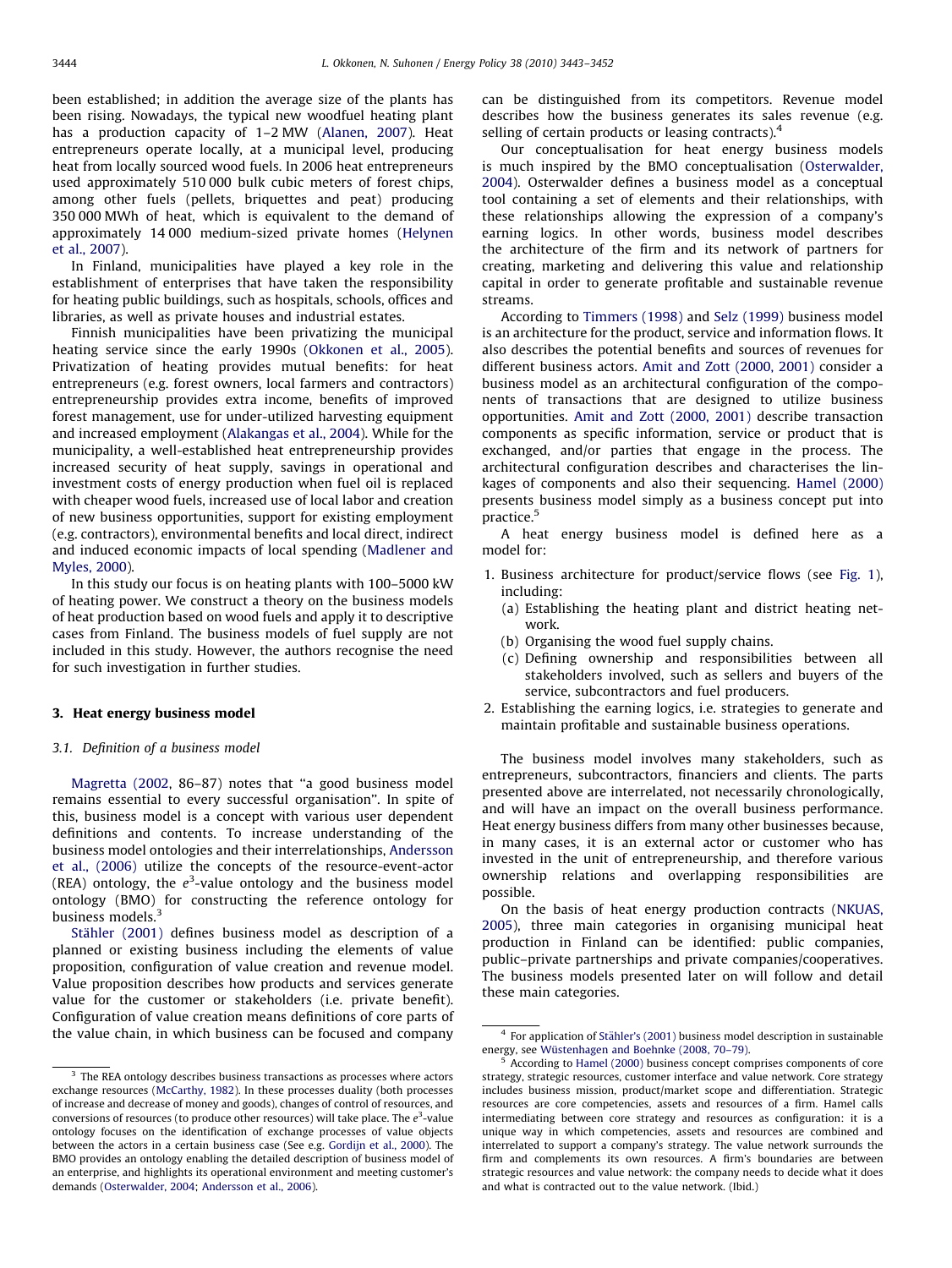heat from locally sourced wood fuels. In 2006 heat entrepreneurs used approximately 510 000 bulk cubic meters of forest chips, among other fuels (pellets, briquettes and peat) producing 350 000 MWh of heat, which is equivalent to the demand of approximately 14 000 medium-sized private homes ([Helynen](#page--1-0) [et al., 2007](#page--1-0)).

In Finland, municipalities have played a key role in the establishment of enterprises that have taken the responsibility for heating public buildings, such as hospitals, schools, offices and libraries, as well as private houses and industrial estates.

Finnish municipalities have been privatizing the municipal heating service since the early 1990s [\(Okkonen et al., 2005\)](#page--1-0). Privatization of heating provides mutual benefits: for heat entrepreneurs (e.g. forest owners, local farmers and contractors) entrepreneurship provides extra income, benefits of improved forest management, use for under-utilized harvesting equipment and increased employment [\(Alakangas et al., 2004](#page--1-0)). While for the municipality, a well-established heat entrepreneurship provides increased security of heat supply, savings in operational and investment costs of energy production when fuel oil is replaced with cheaper wood fuels, increased use of local labor and creation of new business opportunities, support for existing employment (e.g. contractors), environmental benefits and local direct, indirect and induced economic impacts of local spending ([Madlener and](#page--1-0) [Myles, 2000](#page--1-0)).

In this study our focus is on heating plants with 100–5000 kW of heating power. We construct a theory on the business models of heat production based on wood fuels and apply it to descriptive cases from Finland. The business models of fuel supply are not included in this study. However, the authors recognise the need for such investigation in further studies.

#### 3. Heat energy business model

#### 3.1. Definition of a business model

[Magretta \(2002,](#page--1-0) 86–87) notes that ''a good business model remains essential to every successful organisation''. In spite of this, business model is a concept with various user dependent definitions and contents. To increase understanding of the business model ontologies and their interrelationships, [Andersson](#page--1-0) [et al., \(2006\)](#page--1-0) utilize the concepts of the resource-event-actor (REA) ontology, the  $e^3$ -value ontology and the business model ontology (BMO) for constructing the reference ontology for business models.<sup>3</sup>

Stähler (2001) defines business model as description of a planned or existing business including the elements of value proposition, configuration of value creation and revenue model. Value proposition describes how products and services generate value for the customer or stakeholders (i.e. private benefit). Configuration of value creation means definitions of core parts of the value chain, in which business can be focused and company can be distinguished from its competitors. Revenue model describes how the business generates its sales revenue (e.g. selling of certain products or leasing contracts). $4$ 

Our conceptualisation for heat energy business models is much inspired by the BMO conceptualisation ([Osterwalder,](#page--1-0) [2004\)](#page--1-0). Osterwalder defines a business model as a conceptual tool containing a set of elements and their relationships, with these relationships allowing the expression of a company's earning logics. In other words, business model describes the architecture of the firm and its network of partners for creating, marketing and delivering this value and relationship capital in order to generate profitable and sustainable revenue streams.

According to [Timmers \(1998\)](#page--1-0) and [Selz \(1999\)](#page--1-0) business model is an architecture for the product, service and information flows. It also describes the potential benefits and sources of revenues for different business actors. [Amit and Zott \(2000, 2001\)](#page--1-0) consider a business model as an architectural configuration of the components of transactions that are designed to utilize business opportunities. [Amit and Zott \(2000, 2001\)](#page--1-0) describe transaction components as specific information, service or product that is exchanged, and/or parties that engage in the process. The architectural configuration describes and characterises the linkages of components and also their sequencing. [Hamel \(2000\)](#page--1-0) presents business model simply as a business concept put into practice.5

A heat energy business model is defined here as a model for:

- 1. Business architecture for product/service flows (see [Fig. 1\)](#page--1-0), including:
	- (a) Establishing the heating plant and district heating network.
	- (b) Organising the wood fuel supply chains.
	- (c) Defining ownership and responsibilities between all stakeholders involved, such as sellers and buyers of the service, subcontractors and fuel producers.
- 2. Establishing the earning logics, i.e. strategies to generate and maintain profitable and sustainable business operations.

The business model involves many stakeholders, such as entrepreneurs, subcontractors, financiers and clients. The parts presented above are interrelated, not necessarily chronologically, and will have an impact on the overall business performance. Heat energy business differs from many other businesses because, in many cases, it is an external actor or customer who has invested in the unit of entrepreneurship, and therefore various ownership relations and overlapping responsibilities are possible.

On the basis of heat energy production contracts ([NKUAS,](#page--1-0) [2005\)](#page--1-0), three main categories in organising municipal heat production in Finland can be identified: public companies, public–private partnerships and private companies/cooperatives. The business models presented later on will follow and detail these main categories.

<sup>&</sup>lt;sup>3</sup> The REA ontology describes business transactions as processes where actors exchange resources ([McCarthy, 1982\)](#page--1-0). In these processes duality (both processes of increase and decrease of money and goods), changes of control of resources, and conversions of resources (to produce other resources) will take place. The  $e^3$ -value ontology focuses on the identification of exchange processes of value objects between the actors in a certain business case (See e.g. [Gordijn et al., 2000](#page--1-0)). The BMO provides an ontology enabling the detailed description of business model of an enterprise, and highlights its operational environment and meeting customer's demands [\(Osterwalder, 2004;](#page--1-0) [Andersson et al., 2006](#page--1-0)).

 $4$  For application of Stähler's (2001) business model description in sustainable energy, see Wüstenhagen and Boehnke (2008, 70–79).

According to [Hamel \(2000\)](#page--1-0) business concept comprises components of core strategy, strategic resources, customer interface and value network. Core strategy includes business mission, product/market scope and differentiation. Strategic resources are core competencies, assets and resources of a firm. Hamel calls intermediating between core strategy and resources as configuration: it is a unique way in which competencies, assets and resources are combined and interrelated to support a company's strategy. The value network surrounds the firm and complements its own resources. A firm's boundaries are between strategic resources and value network: the company needs to decide what it does and what is contracted out to the value network. (Ibid.)